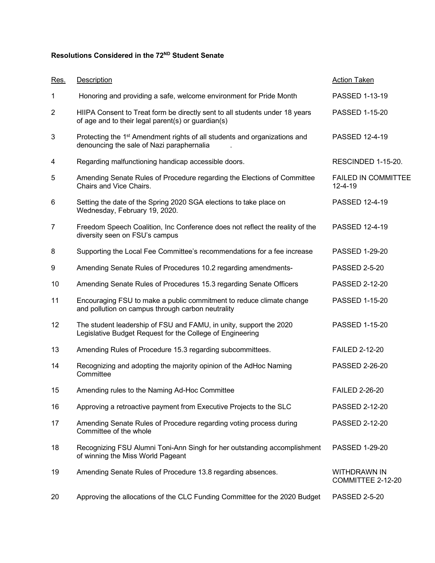## **Resolutions Considered in the 72ND Student Senate**

| Res.           | Description                                                                                                                        | <b>Action Taken</b>                         |
|----------------|------------------------------------------------------------------------------------------------------------------------------------|---------------------------------------------|
| 1              | Honoring and providing a safe, welcome environment for Pride Month                                                                 | PASSED 1-13-19                              |
| $\overline{2}$ | HIIPA Consent to Treat form be directly sent to all students under 18 years<br>of age and to their legal parent(s) or guardian(s)  | PASSED 1-15-20                              |
| 3              | Protecting the 1 <sup>st</sup> Amendment rights of all students and organizations and<br>denouncing the sale of Nazi paraphernalia | PASSED 12-4-19                              |
| 4              | Regarding malfunctioning handicap accessible doors.                                                                                | RESCINDED 1-15-20.                          |
| 5              | Amending Senate Rules of Procedure regarding the Elections of Committee<br>Chairs and Vice Chairs.                                 | <b>FAILED IN COMMITTEE</b><br>$12 - 4 - 19$ |
| 6              | Setting the date of the Spring 2020 SGA elections to take place on<br>Wednesday, February 19, 2020.                                | PASSED 12-4-19                              |
| $\overline{7}$ | Freedom Speech Coalition, Inc Conference does not reflect the reality of the<br>diversity seen on FSU's campus                     | PASSED 12-4-19                              |
| 8              | Supporting the Local Fee Committee's recommendations for a fee increase                                                            | PASSED 1-29-20                              |
| 9              | Amending Senate Rules of Procedures 10.2 regarding amendments-                                                                     | <b>PASSED 2-5-20</b>                        |
| 10             | Amending Senate Rules of Procedures 15.3 regarding Senate Officers                                                                 | PASSED 2-12-20                              |
| 11             | Encouraging FSU to make a public commitment to reduce climate change<br>and pollution on campus through carbon neutrality          | PASSED 1-15-20                              |
| 12             | The student leadership of FSU and FAMU, in unity, support the 2020<br>Legislative Budget Request for the College of Engineering    | PASSED 1-15-20                              |
| 13             | Amending Rules of Procedure 15.3 regarding subcommittees.                                                                          | <b>FAILED 2-12-20</b>                       |
| 14             | Recognizing and adopting the majority opinion of the AdHoc Naming<br>Committee                                                     | PASSED 2-26-20                              |
| 15             | Amending rules to the Naming Ad-Hoc Committee                                                                                      | <b>FAILED 2-26-20</b>                       |
| 16             | Approving a retroactive payment from Executive Projects to the SLC                                                                 | PASSED 2-12-20                              |
| 17             | Amending Senate Rules of Procedure regarding voting process during<br>Committee of the whole                                       | PASSED 2-12-20                              |
| 18             | Recognizing FSU Alumni Toni-Ann Singh for her outstanding accomplishment<br>of winning the Miss World Pageant                      | PASSED 1-29-20                              |
| 19             | Amending Senate Rules of Procedure 13.8 regarding absences.                                                                        | <b>WITHDRAWN IN</b><br>COMMITTEE 2-12-20    |
| 20             | Approving the allocations of the CLC Funding Committee for the 2020 Budget                                                         | <b>PASSED 2-5-20</b>                        |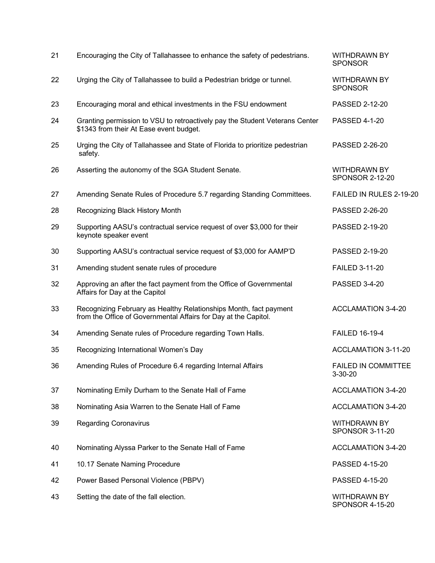| 21 | Encouraging the City of Tallahassee to enhance the safety of pedestrians.                                                            | <b>WITHDRAWN BY</b><br><b>SPONSOR</b>         |
|----|--------------------------------------------------------------------------------------------------------------------------------------|-----------------------------------------------|
| 22 | Urging the City of Tallahassee to build a Pedestrian bridge or tunnel.                                                               | <b>WITHDRAWN BY</b><br><b>SPONSOR</b>         |
| 23 | Encouraging moral and ethical investments in the FSU endowment                                                                       | PASSED 2-12-20                                |
| 24 | Granting permission to VSU to retroactively pay the Student Veterans Center<br>\$1343 from their At Ease event budget.               | <b>PASSED 4-1-20</b>                          |
| 25 | Urging the City of Tallahassee and State of Florida to prioritize pedestrian<br>safety.                                              | PASSED 2-26-20                                |
| 26 | Asserting the autonomy of the SGA Student Senate.                                                                                    | <b>WITHDRAWN BY</b><br><b>SPONSOR 2-12-20</b> |
| 27 | Amending Senate Rules of Procedure 5.7 regarding Standing Committees.                                                                | FAILED IN RULES 2-19-20                       |
| 28 | Recognizing Black History Month                                                                                                      | PASSED 2-26-20                                |
| 29 | Supporting AASU's contractual service request of over \$3,000 for their<br>keynote speaker event                                     | PASSED 2-19-20                                |
| 30 | Supporting AASU's contractual service request of \$3,000 for AAMP'D                                                                  | PASSED 2-19-20                                |
| 31 | Amending student senate rules of procedure                                                                                           | <b>FAILED 3-11-20</b>                         |
| 32 | Approving an after the fact payment from the Office of Governmental<br>Affairs for Day at the Capitol                                | PASSED 3-4-20                                 |
| 33 | Recognizing February as Healthy Relationships Month, fact payment<br>from the Office of Governmental Affairs for Day at the Capitol. | <b>ACCLAMATION 3-4-20</b>                     |
| 34 | Amending Senate rules of Procedure regarding Town Halls.                                                                             | <b>FAILED 16-19-4</b>                         |
| 35 | Recognizing International Women's Day                                                                                                | <b>ACCLAMATION 3-11-20</b>                    |
| 36 | Amending Rules of Procedure 6.4 regarding Internal Affairs                                                                           | <b>FAILED IN COMMITTEE</b><br>$3 - 30 - 20$   |
| 37 | Nominating Emily Durham to the Senate Hall of Fame                                                                                   | <b>ACCLAMATION 3-4-20</b>                     |
| 38 | Nominating Asia Warren to the Senate Hall of Fame                                                                                    | <b>ACCLAMATION 3-4-20</b>                     |
| 39 | <b>Regarding Coronavirus</b>                                                                                                         | WITHDRAWN BY<br>SPONSOR 3-11-20               |
| 40 | Nominating Alyssa Parker to the Senate Hall of Fame                                                                                  | <b>ACCLAMATION 3-4-20</b>                     |
| 41 | 10.17 Senate Naming Procedure                                                                                                        | PASSED 4-15-20                                |
| 42 | Power Based Personal Violence (PBPV)                                                                                                 | PASSED 4-15-20                                |
| 43 | Setting the date of the fall election.                                                                                               | <b>WITHDRAWN BY</b><br><b>SPONSOR 4-15-20</b> |